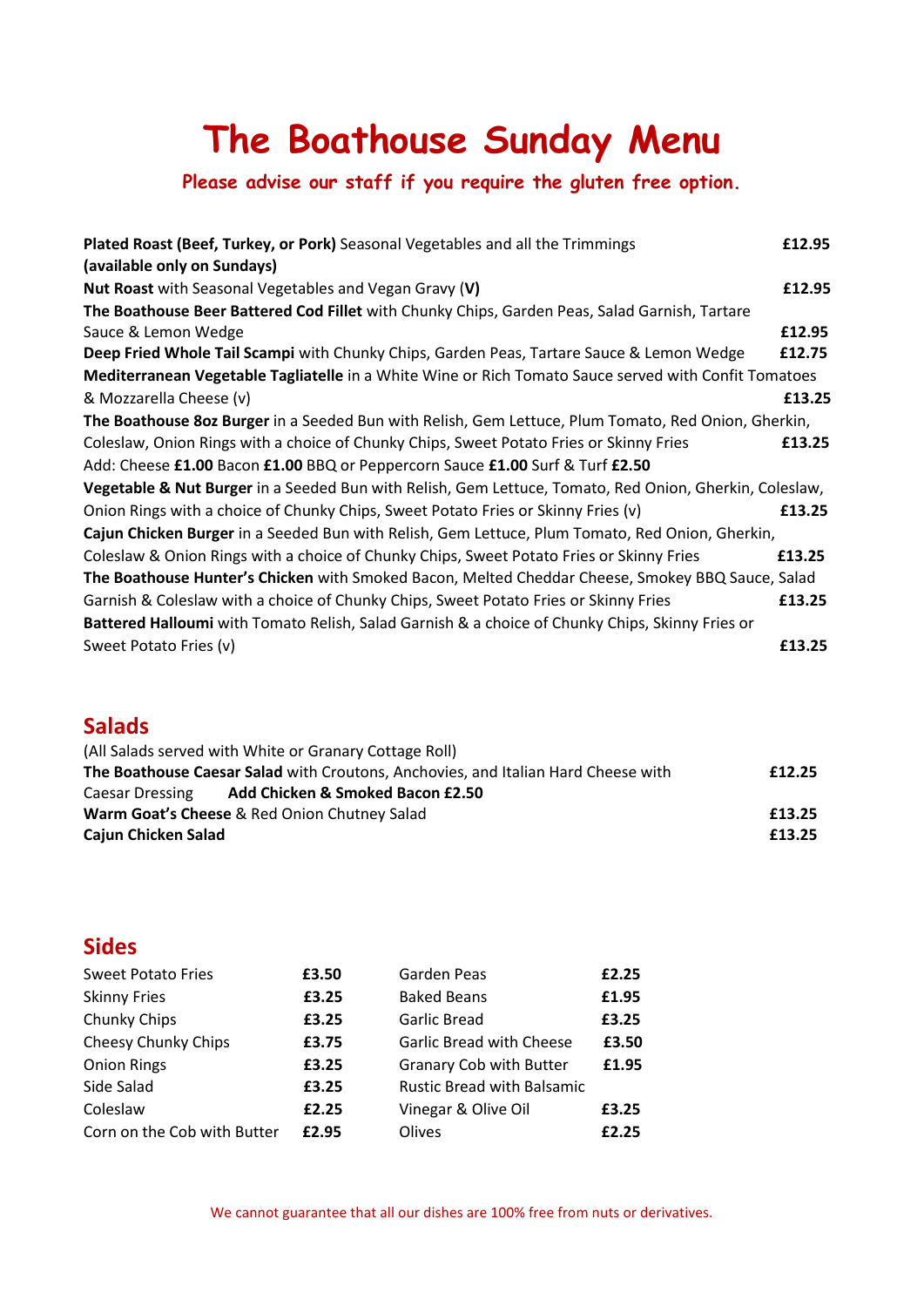# **The Boathouse Sunday Menu**

## **Please advise our staff if you require the gluten free option.**

| Plated Roast (Beef, Turkey, or Pork) Seasonal Vegetables and all the Trimmings                         | £12.95 |  |  |  |
|--------------------------------------------------------------------------------------------------------|--------|--|--|--|
| (available only on Sundays)                                                                            |        |  |  |  |
| <b>Nut Roast</b> with Seasonal Vegetables and Vegan Gravy (V)                                          | £12.95 |  |  |  |
| The Boathouse Beer Battered Cod Fillet with Chunky Chips, Garden Peas, Salad Garnish, Tartare          |        |  |  |  |
| Sauce & Lemon Wedge                                                                                    | £12.95 |  |  |  |
| Deep Fried Whole Tail Scampi with Chunky Chips, Garden Peas, Tartare Sauce & Lemon Wedge               | £12.75 |  |  |  |
| Mediterranean Vegetable Tagliatelle in a White Wine or Rich Tomato Sauce served with Confit Tomatoes   |        |  |  |  |
| & Mozzarella Cheese (v)                                                                                | £13.25 |  |  |  |
| The Boathouse 8oz Burger in a Seeded Bun with Relish, Gem Lettuce, Plum Tomato, Red Onion, Gherkin,    |        |  |  |  |
| Coleslaw, Onion Rings with a choice of Chunky Chips, Sweet Potato Fries or Skinny Fries                | £13.25 |  |  |  |
| Add: Cheese £1.00 Bacon £1.00 BBQ or Peppercorn Sauce £1.00 Surf & Turf £2.50                          |        |  |  |  |
| Vegetable & Nut Burger in a Seeded Bun with Relish, Gem Lettuce, Tomato, Red Onion, Gherkin, Coleslaw, |        |  |  |  |
| Onion Rings with a choice of Chunky Chips, Sweet Potato Fries or Skinny Fries (v)                      | £13.25 |  |  |  |
| Cajun Chicken Burger in a Seeded Bun with Relish, Gem Lettuce, Plum Tomato, Red Onion, Gherkin,        |        |  |  |  |
| Coleslaw & Onion Rings with a choice of Chunky Chips, Sweet Potato Fries or Skinny Fries               | £13.25 |  |  |  |
| The Boathouse Hunter's Chicken with Smoked Bacon, Melted Cheddar Cheese, Smokey BBQ Sauce, Salad       |        |  |  |  |
| Garnish & Coleslaw with a choice of Chunky Chips, Sweet Potato Fries or Skinny Fries                   | £13.25 |  |  |  |
| Battered Halloumi with Tomato Relish, Salad Garnish & a choice of Chunky Chips, Skinny Fries or        |        |  |  |  |
| Sweet Potato Fries (v)                                                                                 | £13.25 |  |  |  |
|                                                                                                        |        |  |  |  |

#### **Salads**

|                                                                                   | (All Salads served with White or Granary Cottage Roll) |        |
|-----------------------------------------------------------------------------------|--------------------------------------------------------|--------|
| The Boathouse Caesar Salad with Croutons, Anchovies, and Italian Hard Cheese with |                                                        |        |
| Caesar Dressing                                                                   | Add Chicken & Smoked Bacon £2.50                       |        |
| Warm Goat's Cheese & Red Onion Chutney Salad                                      |                                                        | £13.25 |
| Cajun Chicken Salad                                                               |                                                        | £13.25 |

# **Sides**

| <b>Sweet Potato Fries</b>   | £3.50 | Garden Peas                       | £2.25 |
|-----------------------------|-------|-----------------------------------|-------|
| <b>Skinny Fries</b>         | £3.25 | <b>Baked Beans</b>                | £1.95 |
| Chunky Chips                | £3.25 | Garlic Bread                      | £3.25 |
| Cheesy Chunky Chips         | £3.75 | <b>Garlic Bread with Cheese</b>   | £3.50 |
| <b>Onion Rings</b>          | £3.25 | <b>Granary Cob with Butter</b>    | £1.95 |
| Side Salad                  | £3.25 | <b>Rustic Bread with Balsamic</b> |       |
| Coleslaw                    | £2.25 | Vinegar & Olive Oil               | £3.25 |
| Corn on the Cob with Butter | £2.95 | Olives                            | £2.25 |